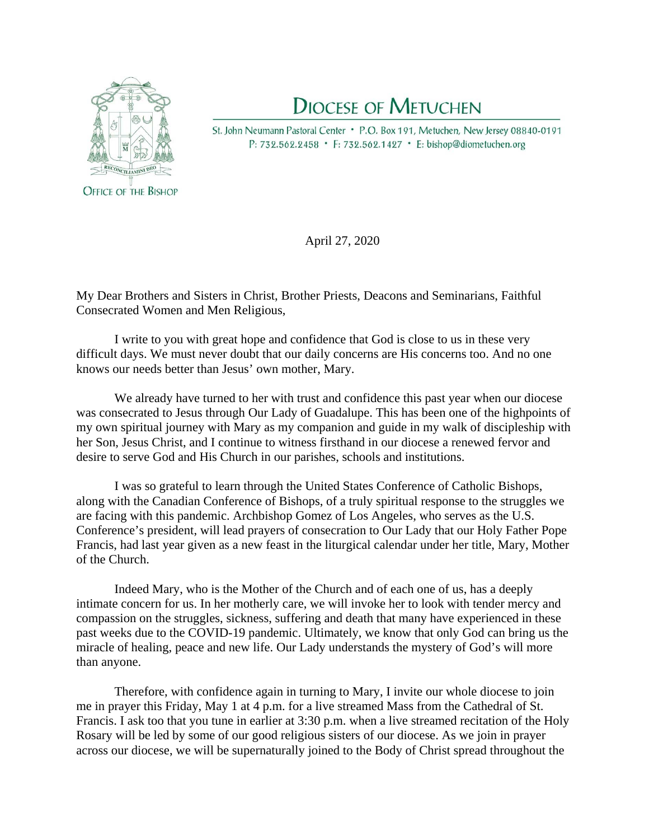

## **DIOCESE OF METUCHEN**

St. John Neumann Pastoral Center • P.O. Box 191, Metuchen, New Jersey 08840-0191 P: 732.562.2458 • F: 732.562.1427 • E: bishop@diometuchen.org

April 27, 2020

My Dear Brothers and Sisters in Christ, Brother Priests, Deacons and Seminarians, Faithful Consecrated Women and Men Religious,

I write to you with great hope and confidence that God is close to us in these very difficult days. We must never doubt that our daily concerns are His concerns too. And no one knows our needs better than Jesus' own mother, Mary.

We already have turned to her with trust and confidence this past year when our diocese was consecrated to Jesus through Our Lady of Guadalupe. This has been one of the highpoints of my own spiritual journey with Mary as my companion and guide in my walk of discipleship with her Son, Jesus Christ, and I continue to witness firsthand in our diocese a renewed fervor and desire to serve God and His Church in our parishes, schools and institutions.

I was so grateful to learn through the United States Conference of Catholic Bishops, along with the Canadian Conference of Bishops, of a truly spiritual response to the struggles we are facing with this pandemic. Archbishop Gomez of Los Angeles, who serves as the U.S. Conference's president, will lead prayers of consecration to Our Lady that our Holy Father Pope Francis, had last year given as a new feast in the liturgical calendar under her title, Mary, Mother of the Church.

Indeed Mary, who is the Mother of the Church and of each one of us, has a deeply intimate concern for us. In her motherly care, we will invoke her to look with tender mercy and compassion on the struggles, sickness, suffering and death that many have experienced in these past weeks due to the COVID-19 pandemic. Ultimately, we know that only God can bring us the miracle of healing, peace and new life. Our Lady understands the mystery of God's will more than anyone.

Therefore, with confidence again in turning to Mary, I invite our whole diocese to join me in prayer this Friday, May 1 at 4 p.m. for a live streamed Mass from the Cathedral of St. Francis. I ask too that you tune in earlier at 3:30 p.m. when a live streamed recitation of the Holy Rosary will be led by some of our good religious sisters of our diocese. As we join in prayer across our diocese, we will be supernaturally joined to the Body of Christ spread throughout the